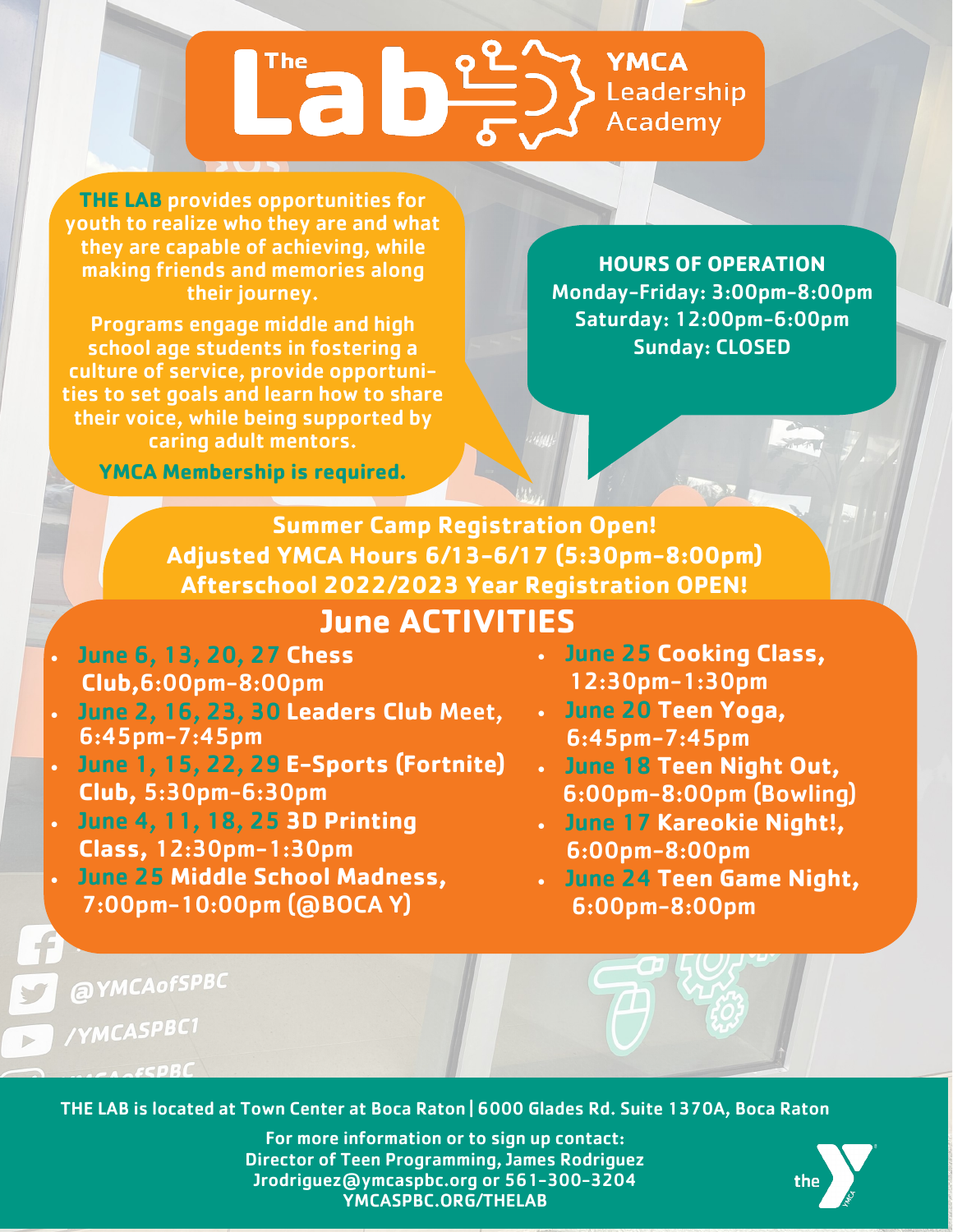# YMCA Leadership **Academy**

**THE LAB** provides opportunities for youth to realize who they are and what they are capable of achieving, while making friends and memories along their journey.

Programs engage middle and high school age students in fostering a culture of service, provide opportunities to set goals and learn how to share their voice, while being supported by caring adult mentors.

**YMCA Membership is required.** 

**HOURS OF OPERATION** Monday-Friday: 3:00pm-8:00pm Saturday: 12:00pm-6:00pm Sunday: CLOSED

**Summer Camp Registration Open! Adjusted YMCA Hours 6/13-6/17 (5:30pm-8:00pm) Afterschool 2022/2023 Year Registration OPEN! June ACTIVITIES** 

- June 6, 13, 20, 27 **Chess Club,**6:00pm-8:00pm
- June 2, 16, 23, 30 **Leaders Club** Meet, 6:45pm-7:45pm
- June 1, 15, 22, 29 **E-Sports (Fortnite) Club,** 5:30pm-6:30pm
- June 4, 11, 18, 25 **3D Printing Class,** 12:30pm-1:30pm
- June 25 **Middle School Madness,** 7:00pm-10:00pm (@BOCA Y)
- June 25 **Cooking Class,** 12:30pm-1:30pm
- June 20 **Teen Yoga,** 6:45pm-7:45pm
- June 18 **Teen Night Out,** 6:00pm-8:00pm (Bowling)
- June 17 **Kareokie Night!,** 6:00pm-8:00pm
- June 24 **Teen Game Night,** 6:00pm-8:00pm

@YMCAofSPBC

/YMCASPBC1

 $\triangleright$ 

THE LAB is located at Town Center at Boca Raton | 6000 Glades Rd. Suite 1370A, Boca Raton

For more information or to sign up contact: Director of Teen Programming, James Rodriguez Jrodriguez@ymcaspbc.org or 561-300-3204 YMCASPBC.ORG/THELAB